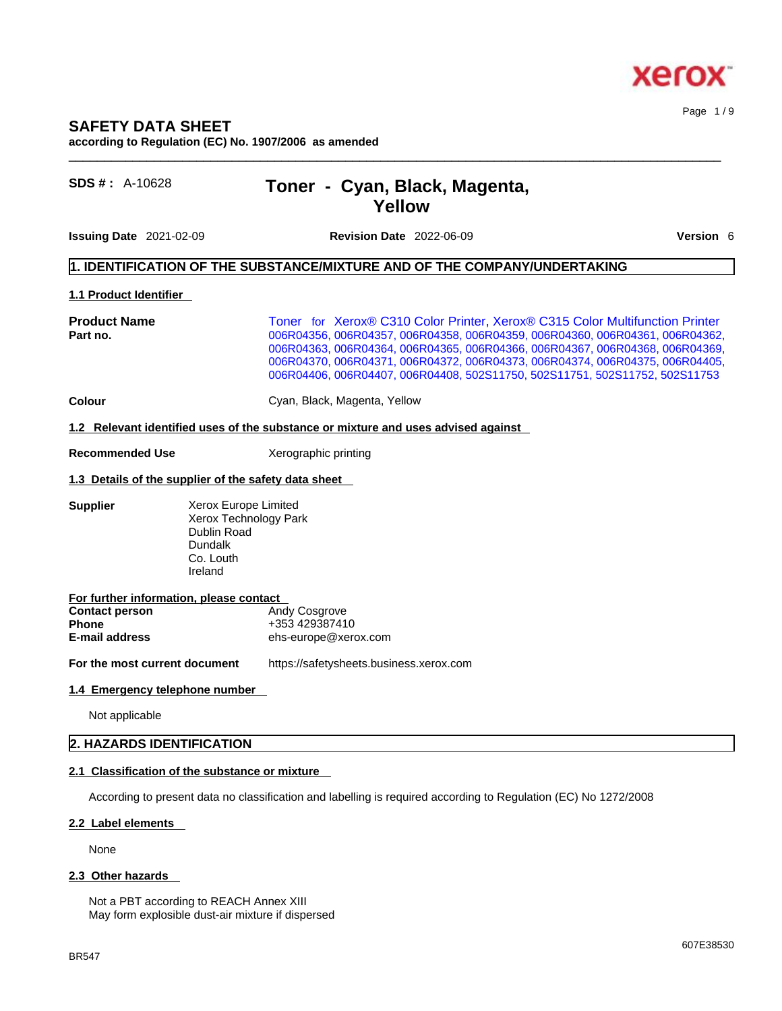

#### Page 1 / 9

### **SAFETY DATA SHEET according to Regulation (EC) No. 1907/2006 as amended**

# **SDS # :** A-10628 **Toner - Cyan, Black, Magenta, Yellow**

**Issuing Date** 2021-02-09 **Revision Date** 2022-06-09 **Version** 6

# **1. IDENTIFICATION OF THE SUBSTANCE/MIXTURE AND OF THE COMPANY/UNDERTAKING**

#### **1.1 Product Identifier**

**Product Name Toner for Xerox® C310 Color Printer, Xerox® C315 Color Multifunction Printer**<br> **Part no.** 006R04362 006R04356, 006R04357, 006R04358, 006R04359, 006R04360, 006R04361, 006R04362 **Part no.** 006R04356, 006R04357, 006R04358, 006R04359, 006R04360, 006R04361, 006R04362, 006R04363, 006R04364, 006R04365, 006R04366, 006R04367, 006R04368, 006R04369, 006R04370, 006R04371, 006R04372, 006R04373, 006R04374, 006R04375, 006R04405, 006R04406, 006R04407, 006R04408, 502S11750, 502S11751, 502S11752, 502S11753

 $\_$  ,  $\_$  ,  $\_$  ,  $\_$  ,  $\_$  ,  $\_$  ,  $\_$  ,  $\_$  ,  $\_$  ,  $\_$  ,  $\_$  ,  $\_$  ,  $\_$  ,  $\_$  ,  $\_$  ,  $\_$  ,  $\_$  ,  $\_$  ,  $\_$  ,  $\_$  ,  $\_$  ,  $\_$  ,  $\_$  ,  $\_$  ,  $\_$  ,  $\_$  ,  $\_$  ,  $\_$  ,  $\_$  ,  $\_$  ,  $\_$  ,  $\_$  ,  $\_$  ,  $\_$  ,  $\_$  ,  $\_$  ,  $\_$  ,

**Colour Colour Cyan, Black, Magenta, Yellow** 

#### **1.2 Relevant identified uses of the substance or mixture and uses advised against**

**Recommended Use** Xerographic printing

#### **1.3 Details of the supplier of the safety data sheet**

**Supplier** Xerox Europe Limited Xerox Technology Park Dublin Road Dundalk Co. Louth Ireland

| For further information, please contact |                      |
|-----------------------------------------|----------------------|
| <b>Contact person</b>                   | <b>Andy Cosgrove</b> |
| <b>Phone</b>                            | +353 429387410       |
| E-mail address                          | ehs-europe@xerox.com |

**For the most current document** https://safetysheets.business.xerox.com

#### **1.4 Emergency telephone number**

Not applicable

### **2. HAZARDS IDENTIFICATION**

#### **2.1 Classification of the substance or mixture**

According to present data no classification and labelling is required according to Regulation (EC) No 1272/2008

#### **2.2 Label elements**

None

#### **2.3 Other hazards**

Not a PBT according to REACH Annex XIII May form explosible dust-air mixture if dispersed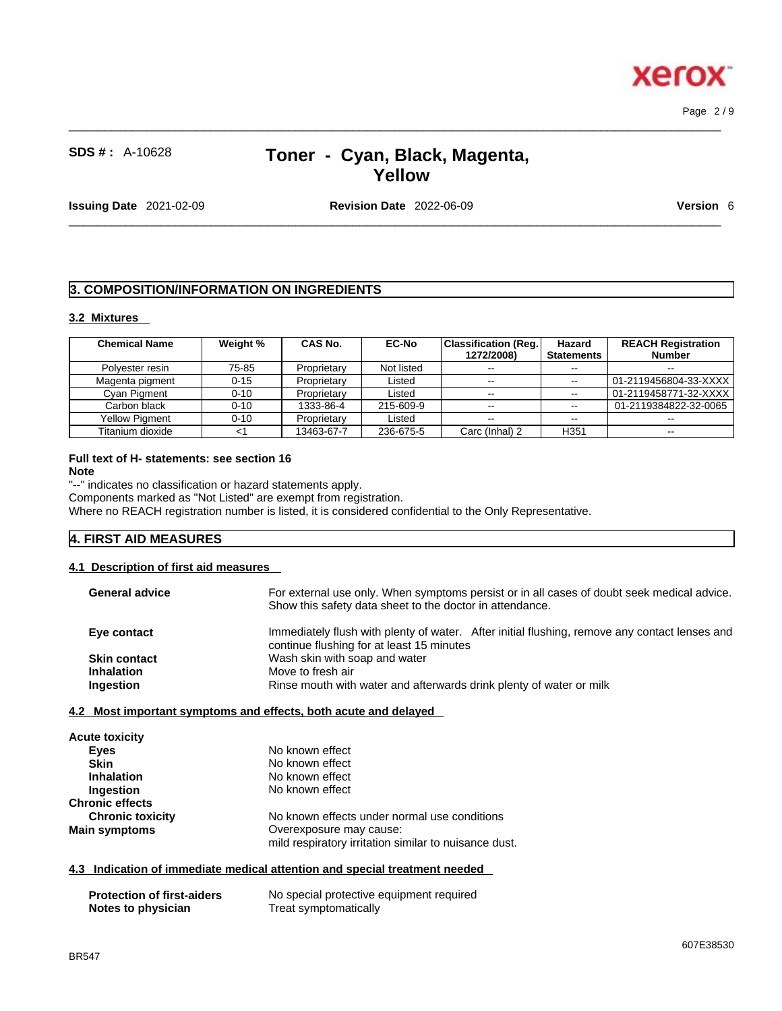**Xerox** 

# **SDS # :** A-10628 **Toner - Cyan, Black, Magenta, Yellow**

 $\_$  ,  $\_$  ,  $\_$  ,  $\_$  ,  $\_$  ,  $\_$  ,  $\_$  ,  $\_$  ,  $\_$  ,  $\_$  ,  $\_$  ,  $\_$  ,  $\_$  ,  $\_$  ,  $\_$  ,  $\_$  ,  $\_$  ,  $\_$  ,  $\_$  ,  $\_$  ,  $\_$  ,  $\_$  ,  $\_$  ,  $\_$  ,  $\_$  ,  $\_$  ,  $\_$  ,  $\_$  ,  $\_$  ,  $\_$  ,  $\_$  ,  $\_$  ,  $\_$  ,  $\_$  ,  $\_$  ,  $\_$  ,  $\_$  ,

**Issuing Date** 2021-02-09 **Revision Date** 2022-06-09 **Version** 6

 $\_$  ,  $\_$  ,  $\_$  ,  $\_$  ,  $\_$  ,  $\_$  ,  $\_$  ,  $\_$  ,  $\_$  ,  $\_$  ,  $\_$  ,  $\_$  ,  $\_$  ,  $\_$  ,  $\_$  ,  $\_$  ,  $\_$  ,  $\_$  ,  $\_$  ,  $\_$  ,  $\_$  ,  $\_$  ,  $\_$  ,  $\_$  ,  $\_$  ,  $\_$  ,  $\_$  ,  $\_$  ,  $\_$  ,  $\_$  ,  $\_$  ,  $\_$  ,  $\_$  ,  $\_$  ,  $\_$  ,  $\_$  ,  $\_$  ,

# **3. COMPOSITION/INFORMATION ON INGREDIENTS**

# **3.2 Mixtures**

| <b>Chemical Name</b>  | Weight % | CAS No.     | <b>EC-No</b> | Classification (Req.)<br>1272/2008) | Hazard<br><b>Statements</b> | <b>REACH Registration</b><br><b>Number</b> |
|-----------------------|----------|-------------|--------------|-------------------------------------|-----------------------------|--------------------------------------------|
| Polvester resin       | 75-85    | Proprietary | Not listed   | $- -$                               | $-$                         | $-$                                        |
| Magenta pigment       | $0 - 15$ | Proprietary | Listed       | $- -$                               | $\sim$                      | 01-2119456804-33-XXXX                      |
| Cyan Pigment          | $0 - 10$ | Proprietary | Listed       | $- -$                               | $- -$                       |                                            |
| Carbon black          | $0 - 10$ | 1333-86-4   | 215-609-9    | $- -$                               | $\sim$                      | 01-2119384822-32-0065                      |
| <b>Yellow Pigment</b> | $0 - 10$ | Proprietary | Listed       | $- -$                               | $\sim$ $\sim$               | $- -$                                      |
| Titanium dioxide      |          | 13463-67-7  | 236-675-5    | Carc (Inhal) 2                      | H <sub>351</sub>            | $- -$                                      |

#### **Full text of H- statements: see section 16 Note**

"--" indicates no classification or hazard statements apply.

Components marked as "Not Listed" are exempt from registration.

Where no REACH registration number is listed, it is considered confidential to the Only Representative.

# **4. FIRST AID MEASURES**

#### **4.1 Description of first aid measures**

| <b>General advice</b> | For external use only. When symptoms persist or in all cases of doubt seek medical advice.<br>Show this safety data sheet to the doctor in attendance. |
|-----------------------|--------------------------------------------------------------------------------------------------------------------------------------------------------|
| Eye contact           | Immediately flush with plenty of water. After initial flushing, remove any contact lenses and<br>continue flushing for at least 15 minutes             |
| <b>Skin contact</b>   | Wash skin with soap and water                                                                                                                          |
| <b>Inhalation</b>     | Move to fresh air                                                                                                                                      |
| Ingestion             | Rinse mouth with water and afterwards drink plenty of water or milk                                                                                    |

#### **4.2 Most important symptoms and effects, both acute and delayed**

| <b>Acute toxicity</b>   |                                                       |  |
|-------------------------|-------------------------------------------------------|--|
| Eyes                    | No known effect                                       |  |
| <b>Skin</b>             | No known effect                                       |  |
| <b>Inhalation</b>       | No known effect                                       |  |
| Ingestion               | No known effect                                       |  |
| <b>Chronic effects</b>  |                                                       |  |
| <b>Chronic toxicity</b> | No known effects under normal use conditions          |  |
| <b>Main symptoms</b>    | Overexposure may cause:                               |  |
|                         | mild respiratory irritation similar to nuisance dust. |  |

#### **4.3 Indication of immediate medical attention and special treatment needed**

| <b>Protection of first-aiders</b> | No special protective equipment required |
|-----------------------------------|------------------------------------------|
| Notes to physician                | Treat symptomatically                    |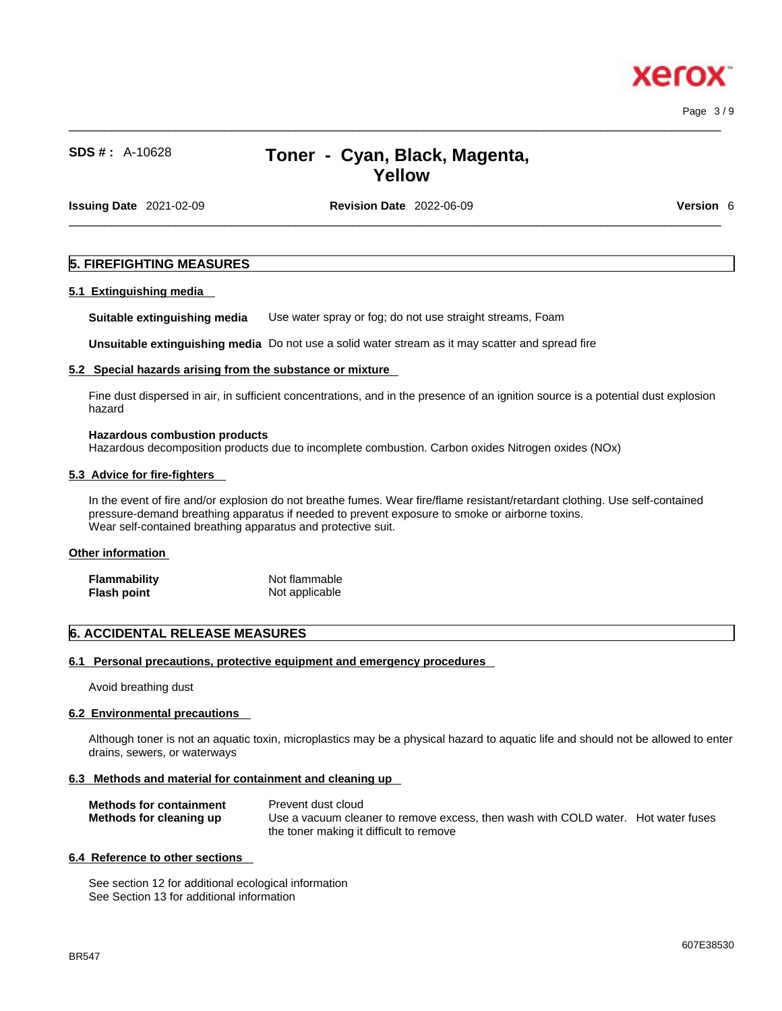Page 3 / 9

xerc

# **SDS # :** A-10628 **Toner - Cyan, Black, Magenta, Yellow**

 $\_$  ,  $\_$  ,  $\_$  ,  $\_$  ,  $\_$  ,  $\_$  ,  $\_$  ,  $\_$  ,  $\_$  ,  $\_$  ,  $\_$  ,  $\_$  ,  $\_$  ,  $\_$  ,  $\_$  ,  $\_$  ,  $\_$  ,  $\_$  ,  $\_$  ,  $\_$  ,  $\_$  ,  $\_$  ,  $\_$  ,  $\_$  ,  $\_$  ,  $\_$  ,  $\_$  ,  $\_$  ,  $\_$  ,  $\_$  ,  $\_$  ,  $\_$  ,  $\_$  ,  $\_$  ,  $\_$  ,  $\_$  ,  $\_$  ,

**Issuing Date** 2021-02-09 **Revision Date** 2022-06-09 **Version** 6

 $\_$  ,  $\_$  ,  $\_$  ,  $\_$  ,  $\_$  ,  $\_$  ,  $\_$  ,  $\_$  ,  $\_$  ,  $\_$  ,  $\_$  ,  $\_$  ,  $\_$  ,  $\_$  ,  $\_$  ,  $\_$  ,  $\_$  ,  $\_$  ,  $\_$  ,  $\_$  ,  $\_$  ,  $\_$  ,  $\_$  ,  $\_$  ,  $\_$  ,  $\_$  ,  $\_$  ,  $\_$  ,  $\_$  ,  $\_$  ,  $\_$  ,  $\_$  ,  $\_$  ,  $\_$  ,  $\_$  ,  $\_$  ,  $\_$  ,

#### **5. FIREFIGHTING MEASURES**

#### **5.1 Extinguishing media**

**Suitable extinguishing media** Use water spray or fog; do not use straight streams, Foam

**Unsuitable extinguishing media** Do not use a solid water stream as it may scatterand spread fire

#### **5.2 Special hazards arising from the substance or mixture**

Fine dust dispersed in air, in sufficient concentrations, and in the presence of an ignition source is a potential dust explosion hazard

#### **Hazardous combustion products**

Hazardous decomposition products due to incomplete combustion. Carbon oxides Nitrogen oxides (NOx)

#### **5.3 Advice for fire-fighters**

In the event of fire and/or explosion do not breathe fumes. Wear fire/flame resistant/retardant clothing. Use self-contained pressure-demand breathing apparatus if needed to prevent exposure to smoke or airborne toxins. Wear self-contained breathing apparatus and protective suit.

#### **Other information**

| Flammability | Not flammable  |
|--------------|----------------|
| Flash point  | Not applicable |

# **6. ACCIDENTAL RELEASE MEASURES**

#### **6.1 Personal precautions, protective equipment and emergency procedures**

Avoid breathing dust

#### **6.2 Environmental precautions**

Although toner is not an aquatic toxin, microplastics may be a physical hazard to aquatic life and should not be allowed to enter drains, sewers, or waterways

# **6.3 Methods and material for containment and cleaning up**

| <b>Methods for containment</b> | Prevent dust cloud                                                                |
|--------------------------------|-----------------------------------------------------------------------------------|
| Methods for cleaning up        | Use a vacuum cleaner to remove excess, then wash with COLD water. Hot water fuses |
|                                | the toner making it difficult to remove                                           |

#### **6.4 Reference to other sections**

See section 12 for additional ecological information See Section 13 for additional information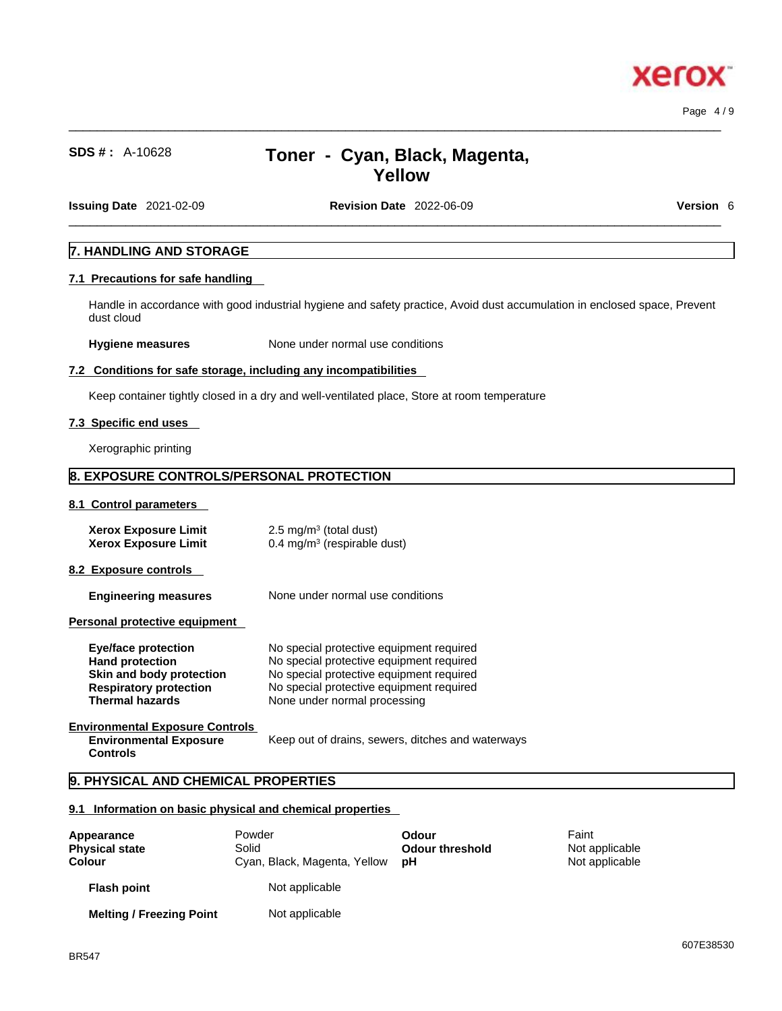xero

# **SDS # :** A-10628 **Toner - Cyan, Black, Magenta, Yellow**

 $\_$  ,  $\_$  ,  $\_$  ,  $\_$  ,  $\_$  ,  $\_$  ,  $\_$  ,  $\_$  ,  $\_$  ,  $\_$  ,  $\_$  ,  $\_$  ,  $\_$  ,  $\_$  ,  $\_$  ,  $\_$  ,  $\_$  ,  $\_$  ,  $\_$  ,  $\_$  ,  $\_$  ,  $\_$  ,  $\_$  ,  $\_$  ,  $\_$  ,  $\_$  ,  $\_$  ,  $\_$  ,  $\_$  ,  $\_$  ,  $\_$  ,  $\_$  ,  $\_$  ,  $\_$  ,  $\_$  ,  $\_$  ,  $\_$  ,

**Issuing Date** 2021-02-09 **Revision Date** 2022-06-09 **Version** 6

 $\_$  ,  $\_$  ,  $\_$  ,  $\_$  ,  $\_$  ,  $\_$  ,  $\_$  ,  $\_$  ,  $\_$  ,  $\_$  ,  $\_$  ,  $\_$  ,  $\_$  ,  $\_$  ,  $\_$  ,  $\_$  ,  $\_$  ,  $\_$  ,  $\_$  ,  $\_$  ,  $\_$  ,  $\_$  ,  $\_$  ,  $\_$  ,  $\_$  ,  $\_$  ,  $\_$  ,  $\_$  ,  $\_$  ,  $\_$  ,  $\_$  ,  $\_$  ,  $\_$  ,  $\_$  ,  $\_$  ,  $\_$  ,  $\_$  ,

# **7. HANDLING AND STORAGE**

## **7.1 Precautions for safe handling**

Handle in accordance with good industrial hygiene and safety practice, Avoid dust accumulation in enclosed space, Prevent dust cloud

**Hygiene measures** None under normal use conditions

#### **7.2 Conditions for safe storage, including any incompatibilities**

Keep container tightly closed in a dry and well-ventilated place, Store at room temperature

#### **7.3 Specific end uses**

Xerographic printing

# **8. EXPOSURE CONTROLS/PERSONAL PROTECTION**

**8.1 Control parameters** 

| <b>Xerox Exposure Limit</b> | $2.5 \text{ mg/m}^3$ (total dust)      |
|-----------------------------|----------------------------------------|
| <b>Xerox Exposure Limit</b> | $0.4 \text{ mg/m}^3$ (respirable dust) |

**8.2 Exposure controls** 

**Engineering measures** None under normal use conditions

**Personal protective equipment** 

| Eye/face protection           | No special protective equipment required |
|-------------------------------|------------------------------------------|
| <b>Hand protection</b>        | No special protective equipment required |
| Skin and body protection      | No special protective equipment required |
| <b>Respiratory protection</b> | No special protective equipment required |
| <b>Thermal hazards</b>        | None under normal processing             |
|                               |                                          |

**Environmental Exposure Controls Environmental Exposure Controls** 

Keep out of drains, sewers, ditches and waterways

# **9. PHYSICAL AND CHEMICAL PROPERTIES**

#### **9.1 Information on basic physical and chemical properties**

| Appearance<br><b>Physical state</b><br><b>Colour</b> | Powder<br>Solid<br>Cyan, Black, Magenta, Yellow | Odour<br><b>Odour threshold</b><br>рH | Faint<br>Not applicable<br>Not applicable |  |
|------------------------------------------------------|-------------------------------------------------|---------------------------------------|-------------------------------------------|--|
| <b>Flash point</b>                                   | Not applicable                                  |                                       |                                           |  |
| <b>Melting / Freezing Point</b>                      | Not applicable                                  |                                       |                                           |  |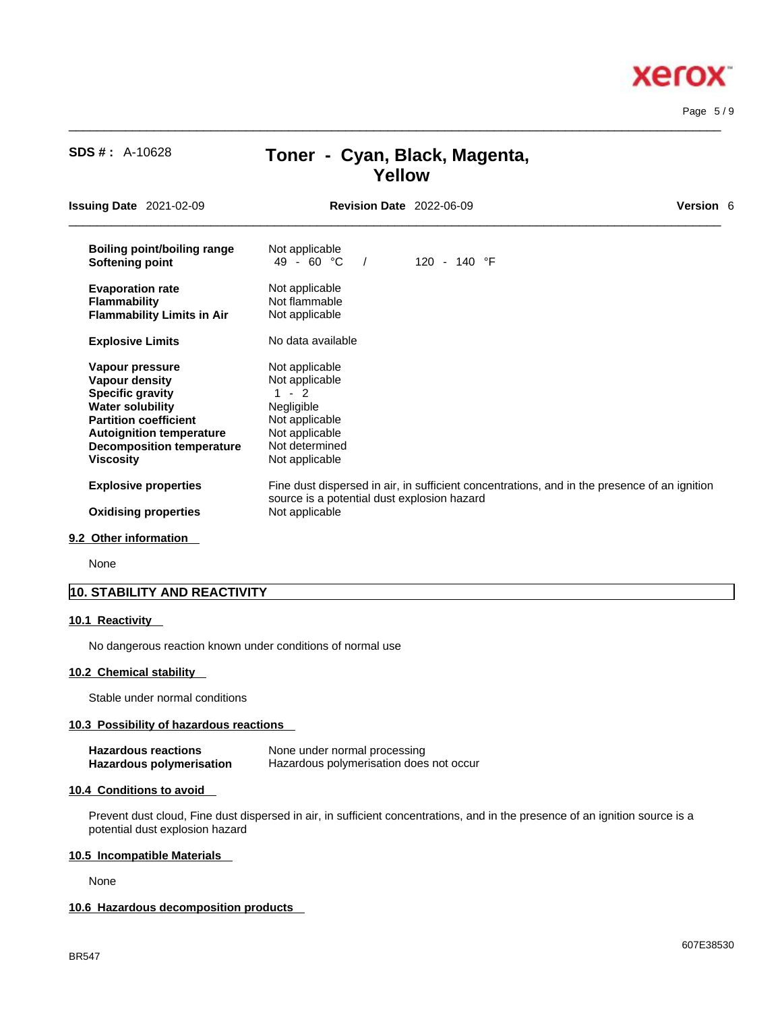# $\_$  ,  $\_$  ,  $\_$  ,  $\_$  ,  $\_$  ,  $\_$  ,  $\_$  ,  $\_$  ,  $\_$  ,  $\_$  ,  $\_$  ,  $\_$  ,  $\_$  ,  $\_$  ,  $\_$  ,  $\_$  ,  $\_$  ,  $\_$  ,  $\_$  ,  $\_$  ,  $\_$  ,  $\_$  ,  $\_$  ,  $\_$  ,  $\_$  ,  $\_$  ,  $\_$  ,  $\_$  ,  $\_$  ,  $\_$  ,  $\_$  ,  $\_$  ,  $\_$  ,  $\_$  ,  $\_$  ,  $\_$  ,  $\_$  , **Issuing Date** 2021-02-09 **Revision Date** 2022-06-09 **Version** 6 **Boiling point/boiling range** Not applicable<br> **Softening point**  $49 - 60 °C$  / **Softening point** 49 - 60 °C / 120 - 140 °F **Evaporation rate Reserve Show Not applicable**<br> **Flammability Not flammable Flammability**<br>**Flammability Limits in Air** Not applicable **Flammability Limits in Air Explosive Limits** No data available **Vapour pressure** Not applicable<br> **Vapour density** Not applicable **Vapour density Specific gravity** 1 - 2<br> **Water solubility** Negligible **Water solubility Partition coefficient** Not applicable<br> **Autoignition temperature** Not applicable **Autoignition temperature** Not applicable<br>**Decomposition temperature** Not determined **Decomposition temperature Viscosity Not applicable Explosive properties** Fine dust dispersed in air, in sufficient concentrations, and in the presence of an ignition source is a potential dust explosion hazard **Oxidising properties** Not applicable

**Yellow**

 $\_$  ,  $\_$  ,  $\_$  ,  $\_$  ,  $\_$  ,  $\_$  ,  $\_$  ,  $\_$  ,  $\_$  ,  $\_$  ,  $\_$  ,  $\_$  ,  $\_$  ,  $\_$  ,  $\_$  ,  $\_$  ,  $\_$  ,  $\_$  ,  $\_$  ,  $\_$  ,  $\_$  ,  $\_$  ,  $\_$  ,  $\_$  ,  $\_$  ,  $\_$  ,  $\_$  ,  $\_$  ,  $\_$  ,  $\_$  ,  $\_$  ,  $\_$  ,  $\_$  ,  $\_$  ,  $\_$  ,  $\_$  ,  $\_$  ,

#### **9.2 Other information**

None

### **10. STABILITY AND REACTIVITY**

#### **10.1 Reactivity**

No dangerous reaction known under conditions of normal use

#### **10.2 Chemical stability**

Stable under normal conditions

#### **10.3 Possibility of hazardous reactions**

| <b>Hazardous reactions</b> | None under normal processing            |
|----------------------------|-----------------------------------------|
| Hazardous polymerisation   | Hazardous polymerisation does not occur |

**SDS # :** A-10628 **Toner - Cyan, Black, Magenta,** 

#### **10.4 Conditions to avoid**

Prevent dust cloud, Fine dust dispersed in air, in sufficient concentrations, and in the presence of an ignition source is a potential dust explosion hazard

#### **10.5 Incompatible Materials**

None

#### **10.6 Hazardous decomposition products**

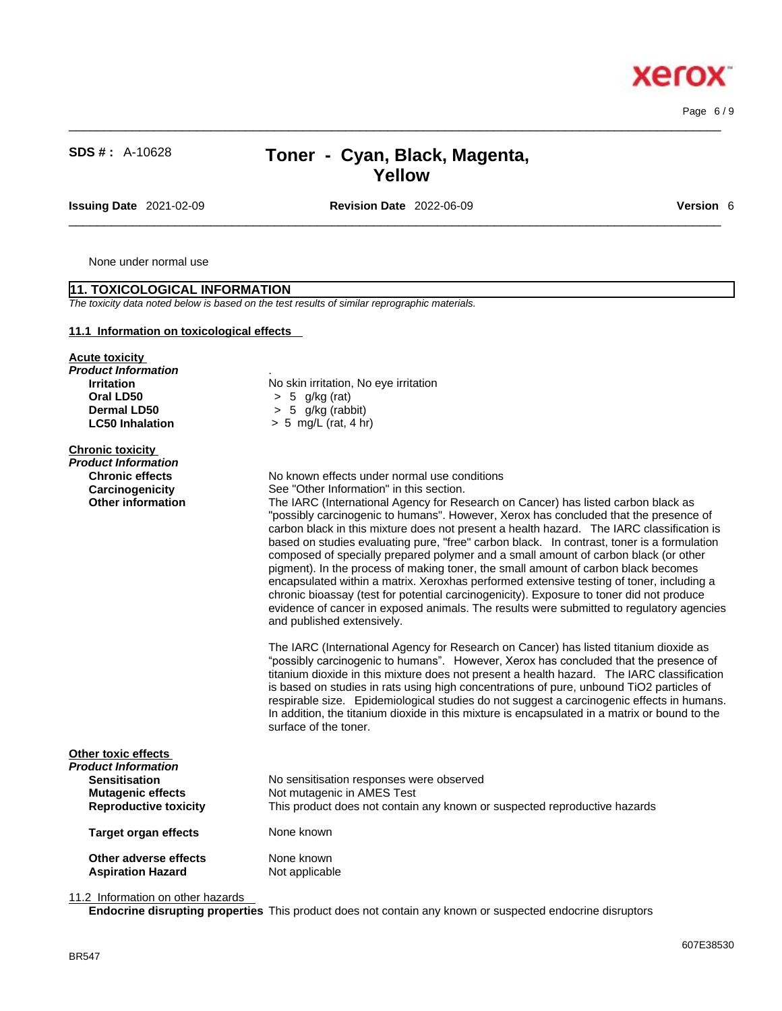Page 6 / 9

**xero** 

X.

# **SDS # :** A-10628 **Toner - Cyan, Black, Magenta,**

**Issuing Date** 2021-02-09 **Revision Date** 2022-06-09 **Version** 6

**Yellow**

 $\_$  ,  $\_$  ,  $\_$  ,  $\_$  ,  $\_$  ,  $\_$  ,  $\_$  ,  $\_$  ,  $\_$  ,  $\_$  ,  $\_$  ,  $\_$  ,  $\_$  ,  $\_$  ,  $\_$  ,  $\_$  ,  $\_$  ,  $\_$  ,  $\_$  ,  $\_$  ,  $\_$  ,  $\_$  ,  $\_$  ,  $\_$  ,  $\_$  ,  $\_$  ,  $\_$  ,  $\_$  ,  $\_$  ,  $\_$  ,  $\_$  ,  $\_$  ,  $\_$  ,  $\_$  ,  $\_$  ,  $\_$  ,  $\_$  ,

 $\_$  ,  $\_$  ,  $\_$  ,  $\_$  ,  $\_$  ,  $\_$  ,  $\_$  ,  $\_$  ,  $\_$  ,  $\_$  ,  $\_$  ,  $\_$  ,  $\_$  ,  $\_$  ,  $\_$  ,  $\_$  ,  $\_$  ,  $\_$  ,  $\_$  ,  $\_$  ,  $\_$  ,  $\_$  ,  $\_$  ,  $\_$  ,  $\_$  ,  $\_$  ,  $\_$  ,  $\_$  ,  $\_$  ,  $\_$  ,  $\_$  ,  $\_$  ,  $\_$  ,  $\_$  ,  $\_$  ,  $\_$  ,  $\_$  ,

None under normal use

**11. TOXICOLOGICAL INFORMATION**

| 11.1 Information on toxicological effects |                                                                                                                                                                                    |
|-------------------------------------------|------------------------------------------------------------------------------------------------------------------------------------------------------------------------------------|
| <b>Acute toxicity</b>                     |                                                                                                                                                                                    |
| Product Information                       |                                                                                                                                                                                    |
| <b>Irritation</b>                         | No skin irritation, No eye irritation                                                                                                                                              |
| Oral LD50                                 | $> 5$ g/kg (rat)                                                                                                                                                                   |
| Dermal LD50                               | $> 5$ g/kg (rabbit)                                                                                                                                                                |
| <b>LC50 Inhalation</b>                    | $> 5$ mg/L (rat, 4 hr)                                                                                                                                                             |
| <b>Chronic toxicity</b>                   |                                                                                                                                                                                    |
| Product Information                       |                                                                                                                                                                                    |
| <b>Chronic effects</b>                    | No known effects under normal use conditions                                                                                                                                       |
| Carcinogenicity                           | See "Other Information" in this section.                                                                                                                                           |
| <b>Other information</b>                  | The IARC (International Agency for Research on Cancer) has listed carbon black as                                                                                                  |
|                                           | "possibly carcinogenic to humans". However, Xerox has concluded that the presence of                                                                                               |
|                                           | carbon black in this mixture does not present a health hazard. The IARC classification is                                                                                          |
|                                           | based on studies evaluating pure, "free" carbon black. In contrast, toner is a formulation                                                                                         |
|                                           | composed of specially prepared polymer and a small amount of carbon black (or other                                                                                                |
|                                           | pigment). In the process of making toner, the small amount of carbon black becomes                                                                                                 |
|                                           | encapsulated within a matrix. Xeroxhas performed extensive testing of toner, including a                                                                                           |
|                                           | chronic bioassay (test for potential carcinogenicity). Exposure to toner did not produce                                                                                           |
|                                           | evidence of cancer in exposed animals. The results were submitted to regulatory agencies<br>and published extensively.                                                             |
|                                           |                                                                                                                                                                                    |
|                                           | The IARC (International Agency for Research on Cancer) has listed titanium dioxide as                                                                                              |
|                                           | "possibly carcinogenic to humans". However, Xerox has concluded that the presence of<br>titanium dioxide in this mixture does not present a health hazard. The IARC classification |
|                                           | is based on studies in rats using high concentrations of pure, unbound TiO2 particles of                                                                                           |
|                                           | respirable size. Epidemiological studies do not suggest a carcinogenic effects in humans.                                                                                          |
|                                           | In addition, the titanium dioxide in this mixture is encapsulated in a matrix or bound to the                                                                                      |
|                                           | surface of the toner.                                                                                                                                                              |
| Other toxic effects                       |                                                                                                                                                                                    |
| Product Information                       |                                                                                                                                                                                    |
| <b>Sensitisation</b>                      | No sensitisation responses were observed                                                                                                                                           |
| <b>Mutagenic effects</b>                  | Not mutagenic in AMES Test                                                                                                                                                         |
| <b>Reproductive toxicity</b>              | This product does not contain any known or suspected reproductive hazards                                                                                                          |
| <b>Target organ effects</b>               | None known                                                                                                                                                                         |
| Other adverse effects                     | None known                                                                                                                                                                         |
| <b>Aspiration Hazard</b>                  | Not applicable                                                                                                                                                                     |

### 11.2 Information on other hazards

**Endocrine disrupting properties** This product does not contain any known or suspected endocrine disruptors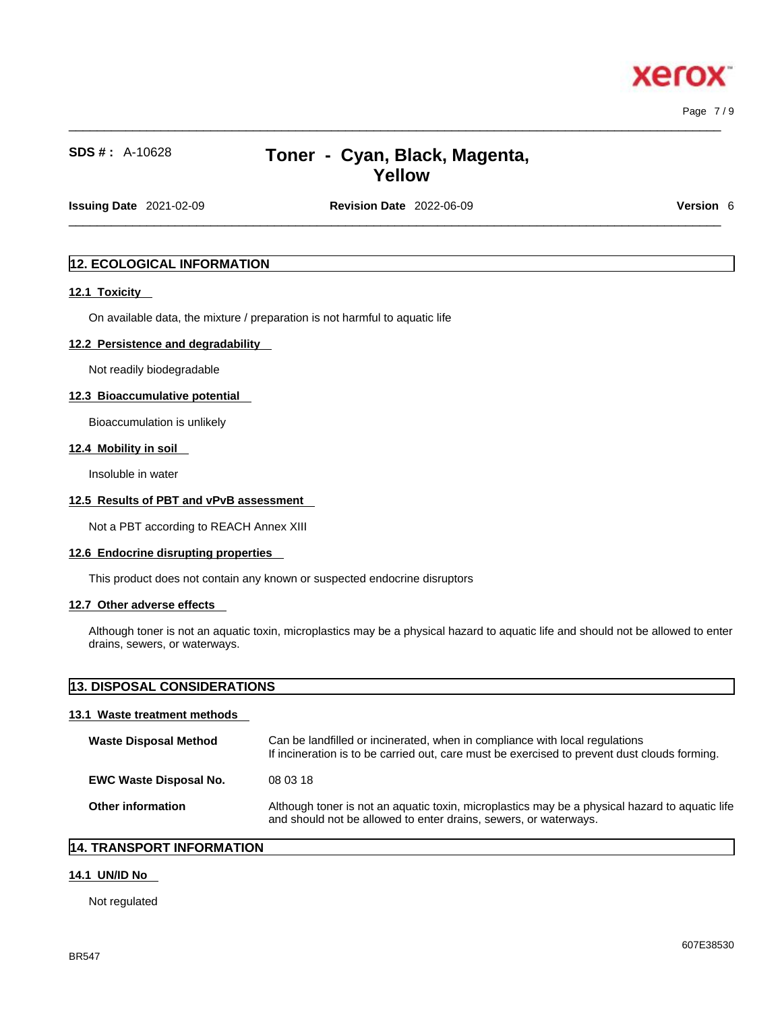xero

# **SDS # :** A-10628 **Toner - Cyan, Black, Magenta, Yellow**

 $\_$  ,  $\_$  ,  $\_$  ,  $\_$  ,  $\_$  ,  $\_$  ,  $\_$  ,  $\_$  ,  $\_$  ,  $\_$  ,  $\_$  ,  $\_$  ,  $\_$  ,  $\_$  ,  $\_$  ,  $\_$  ,  $\_$  ,  $\_$  ,  $\_$  ,  $\_$  ,  $\_$  ,  $\_$  ,  $\_$  ,  $\_$  ,  $\_$  ,  $\_$  ,  $\_$  ,  $\_$  ,  $\_$  ,  $\_$  ,  $\_$  ,  $\_$  ,  $\_$  ,  $\_$  ,  $\_$  ,  $\_$  ,  $\_$  ,

**Issuing Date** 2021-02-09 **Revision Date** 2022-06-09 **Version** 6

 $\_$  ,  $\_$  ,  $\_$  ,  $\_$  ,  $\_$  ,  $\_$  ,  $\_$  ,  $\_$  ,  $\_$  ,  $\_$  ,  $\_$  ,  $\_$  ,  $\_$  ,  $\_$  ,  $\_$  ,  $\_$  ,  $\_$  ,  $\_$  ,  $\_$  ,  $\_$  ,  $\_$  ,  $\_$  ,  $\_$  ,  $\_$  ,  $\_$  ,  $\_$  ,  $\_$  ,  $\_$  ,  $\_$  ,  $\_$  ,  $\_$  ,  $\_$  ,  $\_$  ,  $\_$  ,  $\_$  ,  $\_$  ,  $\_$  ,

### **12. ECOLOGICAL INFORMATION**

#### **12.1 Toxicity**

On available data, the mixture / preparation is not harmful to aquatic life

#### **12.2 Persistence and degradability**

Not readily biodegradable

#### **12.3 Bioaccumulative potential**

Bioaccumulation is unlikely

#### **12.4 Mobility in soil**

Insoluble in water

#### **12.5 Results of PBT and vPvB assessment**

Not a PBT according to REACH Annex XIII

#### **12.6 Endocrine disrupting properties**

This product does not contain any known or suspected endocrine disruptors

#### **12.7 Other adverse effects**

Although toner is not an aquatic toxin, microplastics may be a physical hazard to aquatic life and should not be allowed to enter drains, sewers, or waterways.

# **13. DISPOSAL CONSIDERATIONS 13.1 Waste treatment methods Waste Disposal Method** Can be landfilled or incinerated, when in compliance with local regulations If incineration is to be carried out, care must be exercised to prevent dust clouds forming. **EWC Waste Disposal No.** 08 03 18 **Other information** Although toner is not an aquatic toxin, microplastics may be a physical hazard to aquatic life

and should not be allowed to enter drains, sewers, or waterways.

#### **14. TRANSPORT INFORMATION**

# **14.1 UN/ID No**

Not regulated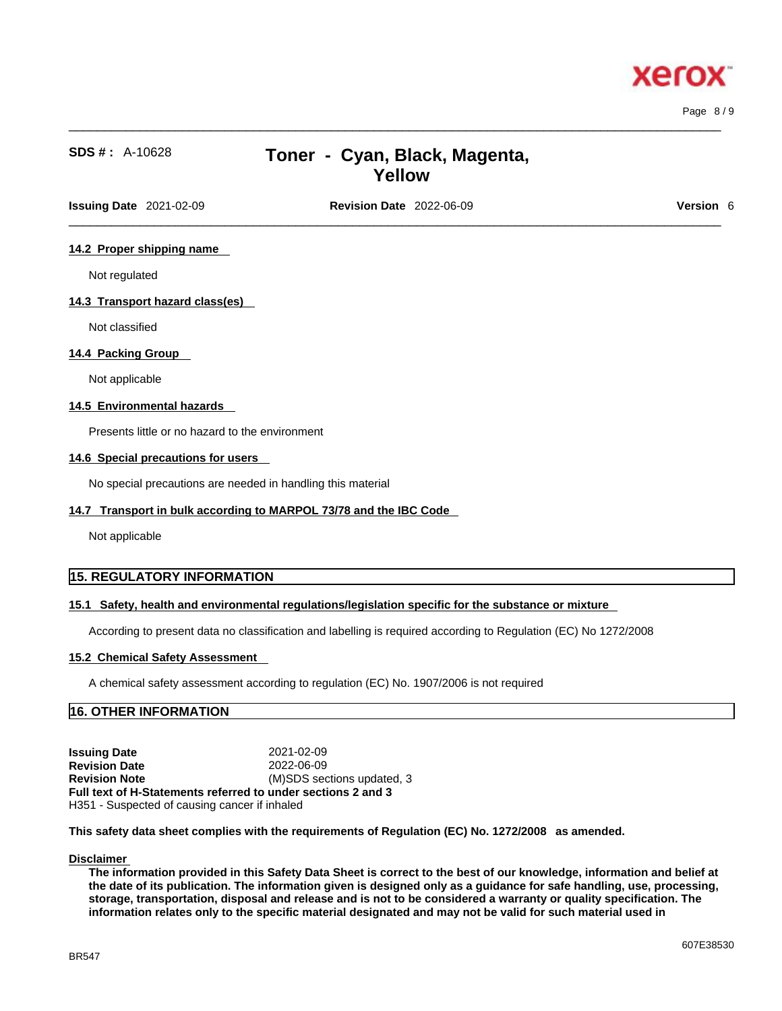xero

# **SDS # :** A-10628 **Toner - Cyan, Black, Magenta, Yellow**

 $\_$  ,  $\_$  ,  $\_$  ,  $\_$  ,  $\_$  ,  $\_$  ,  $\_$  ,  $\_$  ,  $\_$  ,  $\_$  ,  $\_$  ,  $\_$  ,  $\_$  ,  $\_$  ,  $\_$  ,  $\_$  ,  $\_$  ,  $\_$  ,  $\_$  ,  $\_$  ,  $\_$  ,  $\_$  ,  $\_$  ,  $\_$  ,  $\_$  ,  $\_$  ,  $\_$  ,  $\_$  ,  $\_$  ,  $\_$  ,  $\_$  ,  $\_$  ,  $\_$  ,  $\_$  ,  $\_$  ,  $\_$  ,  $\_$  ,

**Issuing Date** 2021-02-09 **Revision Date** 2022-06-09 **Version** 6

 $\_$  ,  $\_$  ,  $\_$  ,  $\_$  ,  $\_$  ,  $\_$  ,  $\_$  ,  $\_$  ,  $\_$  ,  $\_$  ,  $\_$  ,  $\_$  ,  $\_$  ,  $\_$  ,  $\_$  ,  $\_$  ,  $\_$  ,  $\_$  ,  $\_$  ,  $\_$  ,  $\_$  ,  $\_$  ,  $\_$  ,  $\_$  ,  $\_$  ,  $\_$  ,  $\_$  ,  $\_$  ,  $\_$  ,  $\_$  ,  $\_$  ,  $\_$  ,  $\_$  ,  $\_$  ,  $\_$  ,  $\_$  ,  $\_$  ,

#### **14.2 Proper shipping name**

Not regulated

#### **14.3 Transport hazard class(es)**

Not classified

#### **14.4 Packing Group**

Not applicable

#### **14.5 Environmental hazards**

Presents little or no hazard to the environment

#### **14.6 Special precautions for users**

No special precautions are needed in handling this material

#### **14.7 Transport in bulk according to MARPOL 73/78 and the IBC Code**

Not applicable

### **15. REGULATORY INFORMATION**

#### **15.1 Safety, health and environmental regulations/legislation specific for the substance or mixture**

According to present data no classification and labelling is required according to Regulation (EC) No 1272/2008

#### **15.2 Chemical Safety Assessment**

A chemical safety assessment according to regulation (EC) No. 1907/2006 is not required

### **16. OTHER INFORMATION**

**Issuing Date** 2021-02-09 **Revision Date** 2022-06-09 **Revision Note** (M)SDS sections updated, 3 **Full text of H-Statements referred to undersections 2 and 3** H351 - Suspected of causing cancer if inhaled

**This safety data sheet complies with the requirements of Regulation (EC) No. 1272/2008 as amended.**

#### **Disclaimer**

The information provided in this Safety Data Sheet is correct to the best of our knowledge, information and belief at the date of its publication. The information given is designed only as a guidance for safe handling, use, processing, storage, transportation, disposal and release and is not to be considered a warranty or quality specification. The information relates only to the specific material designated and may not be valid for such material used in